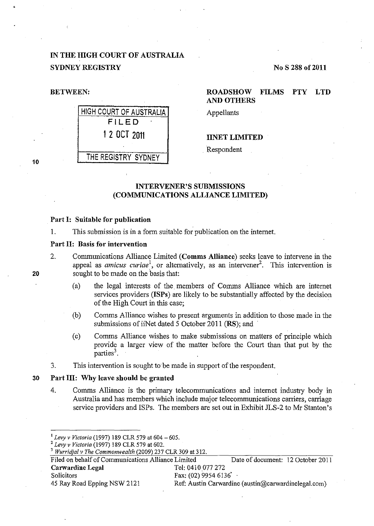# IN THE HIGH COURT OF AUSTRALIA SYDNEY REGISTRY No S 288 of 2011



# BETWEEN: ROADSHOW FILMS PTY LTD AND OTHERS

Appellants

IINET LIMITED

. Respondent

# INTERVENER'S SUBMISSIONS (COMMUNICATIONS ALLIANCE LIMITED)

#### Part I: Suitable for publication

1. This submission is in a form suitable for publication on the internet.

#### Part II: Basis for intervention

- 2. Communications Alliance Limited (Comms Alliance) seeks leave to intervene in the appeal as *amicus curiae*<sup>1</sup>, or alternatively, as an intervener<sup>2</sup>. This intervention is sought to be made on the basis that:
	- (a) the legal interests of the. members of Comms Alliance which are internet services providers (ISPs) are likely to be substantially affected by the decision of the High Court in this case;
	- (b) Comms Alliance wishes to present arguments in addition to those made in the submissions of iiNet dated  $5$  October 2011 (RS); and
	- (c) Comms Alliance wishes to make submissions on matters of principle which provide a larger view of the matter before the Court than that put by the parties<sup>3</sup>.
- 3. This intervention is sought to be made in support of the respondent.

#### 30 Part III: Why leave should be granted

4. Comms Alliance is the primary telecommunications and internet industry body in Australia and has members which include major telecommunications carriers, carriage service providers and ISPs. The members are set out in Exhibit JLS-2 to Mr Stanton's

20

<sup>1</sup>*Levy v Victoria* (1997) 189 CLR 579 at 604-605. 2 *Levy v Victoria* (1997) 189 CLR 579 at 602. 3 *Wurridjal v The Commonwealth* (2009) 237 CLR 309 at 312.

Filed on behalf of Communications Alliance Limited Date of document: 12 October 2011 Carwardine Legal Tel: 0410 077 272 Solicitors Fax: (02) 9954 6136 45 Ray Road Epping NSW 2121 Ref: Austin Carwardine (austin @carwardinelegal.com)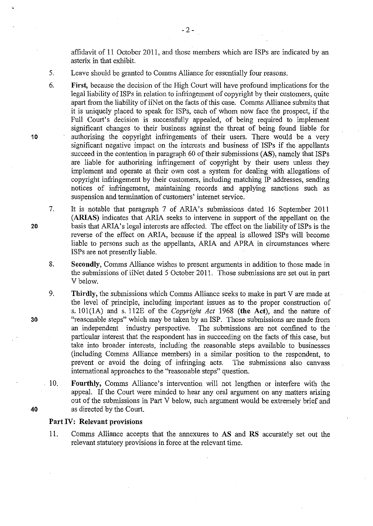affidavit of 11 October 2011, and those members which are ISPs are indicated by an asterix in that exhibit.

- 5. Leave should be granted to Comms Alliance for essentially four reasons.
- 6. **First,** because the decision of the High Court will have profound implications for the legal liability of ISPs in relation to infringement of copyright by their customers, quite apart from the liability of iiNet on the facts of this case. Comms Alliance submits that it is uniquely placed to speak for ISPs, each of whom now face the prospect, if the Full Court's decision is successfully appealed, of being required to implement significant changes to their business against the threat of being found liable for authorising the copyright infringements of their users. There would be a very significant negative impact on the interests and business of ISPs if the appellants succeed in the contention in paragraph 60 of their submissions **(AS),** namely that ISPs are liable for authorising infringement of copyright by their users unless they implement and operate at their own cost a system for dealing with allegations of copyright infringement by their customers, including matching IP addresses, sending notices of infringement, maintaining records and applying sanctions such as suspension and termination of customers' internet service.
	- It is notable that paragraph 7 of ARIA's submissions dated 16 September 2011 **(ARIAS)** indicates that ARIA seeks to intervene in support of the appellant on the basis that ARIA's legal interests are affected. The effect on the liability of ISPs is the reverse of the effect on ARIA, because if the appeal is allowed ISPs will become liable to persons such as the appellants, ARIA and APRA in circumstances where ISPs are not presently liable.
- 8. **Secondly,** Comms Alliance wishes to present arguments in addition to those made in the submissions of iiNet dated 5 October 2011. Those submissions are set out in part Vbelow.
- 9. **Thirdly,** the submissions which Comms Alliance seeks to make in part V are made at the level of principle, including important issues as to the proper construction of s. 101(1A) and s. 112E of the *Copyright Act* 1968 **(the Act),** and the nature of "reasonable steps" which may be taken by an ISP. Those submissions are made from an independent industry perspective. The submissions are not confined to the particular interest that the respondent has in succeeding on the facts of this case, but take into broader interests, including the reasonable steps available to businesses (including Comms Alliance members) in a similar position to the respondent, to prevent or avoid the doing of infringing acts. The submissions also canvass international approaches to the "reasonable steps" question.
- 10. **Fourthly,** Comms Alliance's intervention will not lengthen or interfere with the appeal. If the Court were minded to hear any oral argument on any matters arising out of the submissions in Part V below, such argument would be extremely brief and as directed by the Court.

#### **Part IV: Relevant provisions**

11. Comms Alliance accepts that the annexures to AS and **RS** accurately set out the relevant statutory provisions in force at the relevant time.

7.

**10** 

**30**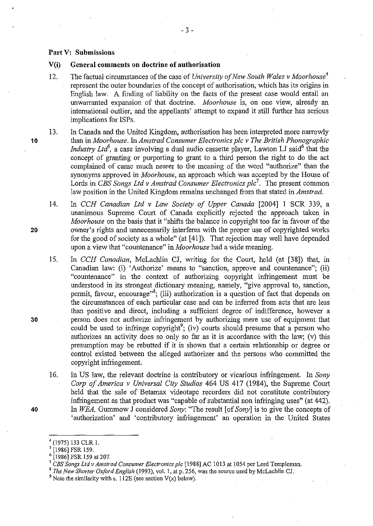#### **Part V: Submissions**

#### V(i) **General comments on doctrine of authorisation**

12. The factual circumstances of the case of *University of New South Wales v Moorhouse4*  represent the outer boundaries of the concept of authorisation, which has its origins in English law. A finding of liability on the facts of the present case would entail an unwarranted expansion of that doctrine. *Moorhouse* is, on one view, already an international outlier, and the appellants' attempt to expand it still further has serious implications for ISPs.

13. In Canada and the United Kingdom, authorisation has been interpreted more narrowly than in *Moorhouse. InAmstrad Consumer Electronics pic v The British Phonographic Industry Ltd*<sup>5</sup>, a case involving a dual audio cassette player, Lawton LJ said<sup>6</sup> that the concept of granting or purporting to grant to a third person the right to do the act complained of came much nearer to the meaning of the word "authorize" than the synonyms approved in *Moorhouse,* an approach which was accepted by the House of Lords in *CBS Songs Ltd v Amstrad Consumer Electronics plc<sup>7</sup>.* The present common law position in the United Kingdom remains unchanged from that stated in *Amstrad.* 

14. In *CCH Canadian Ltd v Law Society of Upper Canada* [2004] 1 SCR 339, a unanimous Supreme Court of Canada explicitly rejected the approach taken in *Moorhouse* on the basis that it "shifts the balance in copyright too far in favour of the owner's rights and unnecessarily interferes with the proper use of copyrighted works for the good of society as a whole" (at [41]). That rejection may well have depended upon a view that "countenance" in *Moorhouse* had a wide meaning.

15. In *CCH Canadian*, McLachlin CJ, writing for the Court, held (at [38]) that, in Canadian law: (i) 'Authorize' means to "sanction, approve and countenance"; (ii) "countenance" in the context of authorizing copyright infringement must be understood in its strongest dictionary meaning, namely, "give approval to, sanction, permit, favour, encourage"<sup>8</sup>; (iii) authorization is a question of fact that depends on the circumstances of each particular case and can be inferred from acts that are less than positive and direct, including a sufficient degree of indifference, however a person does not authorize infringement by authorizing mere use of equipment that could be used to infringe copyright<sup>9</sup>; (iv) courts should presume that a person who authorizes an activity does so only so far as it is accordance with the law; (v) this presumption may be rebutted if it is shown that a certain relationship or degree or control existed between the alleged authorizer and the persons who committed the copyright infringement.

16. In US law, the relevant doctrine is contributory or vicarious infringement. In *Sony Corp of America v Universal City Studios* 464 US 417 (1984), the Supreme Court held that the sale of Betamax videotape recorders did not constitute contributory infringement as that product was "capable of substantial non infringing uses" (at 442). In *WEA,* Gummow J considered *Sony:* "The result [of *Sony]* is to give the concepts of 'authorization' and 'contributory infringement' an operation in the United States

**20** 

**10** 

**30** 

 $^{4}$  (1975) 133 CLR 1.<br><sup>5</sup> [1986] FSR 159.

<sup>&</sup>lt;sup>6</sup> [1986] FSR 159 at 207.<br><sup>7</sup> *CBS Songs Ltd v Amstrad Consumer Electronics plc* [1988] AC 1013 at 1054 per Lord Templeman.

<sup>8</sup>*The New Shorter Oxford English* (1993), vol. I, at p. 256, was the source used by McLachlin *CJ:* 

 $9$  Note the similarity with s. 112E (see section V(x) below).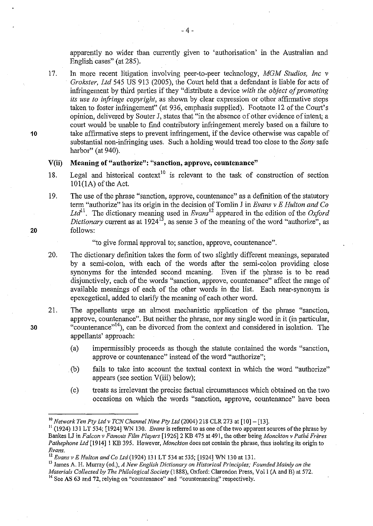apparently no wider than currently given to 'authorisation' in the Australian and English cases" (at 285).

17. In more recent litigation involving peer-to-peer technology, *MGM Studios, Inc v Grokster, Ltd* 545 US 913 (2005), the Court held that a defendant is liable for acts of infringement by third parties if they "distribute a device *with the object of promoting its use to infringe copyright,* as shown by clear expression or other affirmative steps taken to foster infringement" (at 936, emphasis supplied). Footnote 12 of the Court's opinion, delivered by Souter J, states that "in the absence of other evidence of intent; a court would be unable to find contributory infringement merely based on a failure to take affirmative steps to prevent infringement, if the device otherwise was capable of substantial non-infringing uses. Such a holding would tread too close to the *Sony* safe harbor" (at 940).

### **V(ii) Meaning of "authorize": "sanction, approve, countenance"**

- 18. Legal and historical context<sup>10</sup> is relevant to the task of construction of section  $101(1A)$  of the Act.
- 19. The use of the phrase "sanction, approve, countenance" as a definition of the statutory term "authorize" has its origin in the decision of Tomlin J in *Evans v E Hulton and Co Ltd*<sup>11</sup> • The dictionary meaning used in *Evans* 12 appeared in the edition of the *Oxford Dictionary* current as at 1924<sup>13</sup>, as sense 3 of the meaning of the word "authorize", as follows:

"to give formal approval to; sanction, approve, countenance".

- 20. The dictionary definition takes the form of two slightly different meanings, separated by a semi-colon, with each of the words after the semi-colon providing close synonyms for the intended second meaning. Even if the phrase is to be read disjunctively, each of the words "sanction, approve, countenance" affect the range of available meanings of each of the other words in the list. Each near-synonym is epexegetical, added to clarify the meaning of each other word.
- 21. The appellants urge an almost mechanistic application of the phrase "sanction, approve, countenance". But neither the phrase, nor any single word in it (in particular, "countenance"<sup>14</sup>), can be divorced from the context and considered in isolation. The appellants' approach:
	- (a) impermissibly proceeds as though the statute contained the words "sanction, approve or countenance" instead of the word "authorize";
	- (b) fails to take into account the textual context in which the word "authorize" appears (see section V(iii) below);
	- (c) treats as irrelevant the precise factual circumstances which obtained on the two occasions on which the words "sanction, approve, countenance" have been

13 James A. H. Murray (ed.), *A New English Dictionary on Historical Principles; Founded Mainly on the Materials Collected by The Philological Society* (1888), Oxford: Clarendon Press, Vol I (A and B) at 572.

30

**20** 

<sup>&</sup>lt;sup>10</sup> Network Ten Pty Ltd v TCN Channel Nine Pty Ltd (2004) 218 CLR 273 at [10] - [13].<br><sup>11</sup> (1924) 131 LT 534; [1924] WN 130. *Evans* is referred to as one of the two apparent sources of the phrase by Bankes LJ in *Falcon v Famous Film Players* [1926]2 KB 475 at491, the other being *Monckton v Pathe Freres Pathephone Ltd* [1914] 1 KB 395. However, *Monckton* does not contain the phrase, thus isolating its origin to *Evans*.

*Evans.* · 12 *Evans v E Hulton and Co Ltd(1924)* 131 LT 534 at 535; [1924] WN 130 at 131.

<sup>&</sup>lt;sup>14</sup> See AS 63 and 72, relying on "countenance" and "countenancing" respectively.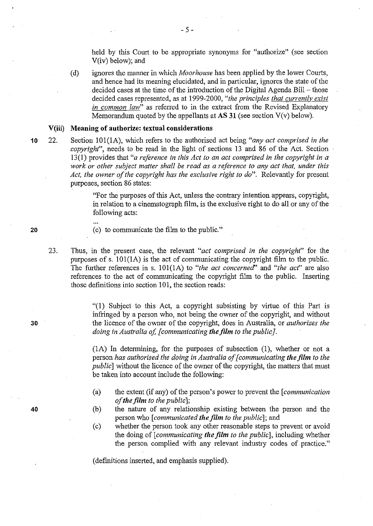held by this Court to be appropriate synonyms for "authorize" (see section V(iv) below); and

(d) ignores the manner in which *Moorhouse* has been applied by the lower Courts, and hence had its meaning elucidated, and in particular, ignores the state of the decided cases at the time of the introduction of the Digital Agenda Bill- those decided cases represented, as at 1999-2000, *"the principles that currently exist in common law"* as referred to in the extract from the Revised Explanatory Memorandum quoted by the appellants at **AS 31** (see section V(v) below).

# **V(iii) Meaning of authorize: textual considerations**

22. Section 101(1A), which refers to the authorised act being *"any act comprised in the copyright",* needs to be read in the light of sections 13 and 86 of the Act. Section 13(1) provides that *"a reference in this Act to an act comprised* in *the copyright* in *a work or other subject matter shall be read as a reference to any act that, under this Act, the owner of the copyright has the exclusive right to do".* Relevantly for present purposes, section 86 states:

> "For the purposes of this Act, unless the contrary intention appears, copyright, in relation to a cinematograph film, is the exclusive right to do all or any of the following acts:

(c) to communicate the film to the public."

23. Thus, in the present case, the relevant *"act comprised in the copyright"* for the purposes of s. 101(1A) is the act of communicating the copyright film to the public. The further references in s. 101(1A) to *"the act concerned'* and *"the act"* are also references to the act of communicating the copyright film to the public. Inserting those definitions into section 101, the section reads:

> "(1) Subject to this Act, a copyright subsisting by virtue of this Part is infringed by a person who, not being the owner of the copyright, and without the licence of the owner of the copyright, does in Australia, or *authorizes the doing in Australia of, [communicating the film to the public}.*

> (lA) In determining, for the purposes of subsection (1), whether or not a person *has authorised the doing* in *Australia of [communicating the film to the public]* without the licence of the owner of the copyright, the matters that must be taken into account include the following:

- (a) the extent (if any) of the person's power to prevent the *[communication of the film to the public];*
- (b) the nature of any relationship existing between the person and the person who *[communicated the film to the public];* and
- (c) whether the person took any other reasonable steps to prevent or avoid the doing of *[communicating the film to the public],* including whether the person complied with any relewmt industry codes of practice."

(definitions inserted, and emphasis supplied).

**20** 

**10** 

**30**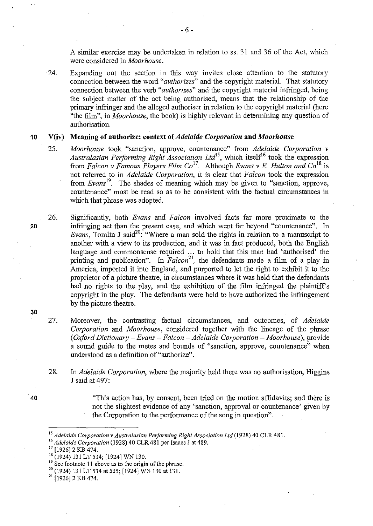A similar exercise may be undertaken in relation to ss. 31 and 36 of the Act, which were considered in *Moorhouse.* 

24. Expanding out the section in this way invites close attention to the statutory connection between the word *"authorizes"* and the copyright material. That statutory connection between the verb *"authorizes"* and the copyright material infringed, being the subject matter of the act being authorised, means that the relationship of the primary infringer and the alleged authoriser in relation to the copyright material (here "the film", in *Moorhouse,* the book) is highly relevant in determining any question of authorisation.

#### **10 V(iv) Meaning of authorize: context of** *Adelaide Corporation* **and** *Moorhouse*

- 25. *Moorhouse* took "sanction, approve, countenance" from *Adelaide Corporation v Australasian Performing Right Association Ltd*<sup>15</sup>, which itself<sup>16</sup> took the expression from *Falcon v Famous Players Film Co* 11• Although *Evans v E. Hulton and* Co18 is not referred to in *Adelaide Corporation,* it is clear that *Falcon* took the expression from *Evans*<sup>19</sup>. The shades of meaning which may be given to "sanction, approve, countenance" must be read so as to be consistent with the factual circumstances in which that phrase was adopted.
- 26. Significantly, both *Evans* and *Falcon* involved facts far more proximate to the infringing act than the present case, and which went far beyond "countenance". In *Evans*, Tomlin J said<sup>20</sup>: "Where a man sold the rights in relation to a manuscript to another with a view to its production, and it was in fact produced, both the English language and commonsense required ... to hold that this man had 'authorised' the printing and publication". In *Falcon*<sup>21</sup>, the defendants made a film of a play in America, imported it into England, and purported to let the right to exhibit it to the proprietor of a picture theatre, in circumstances where it was held that the defendants had no rights to the play, and the exhibition of the film infringed the plaintiff's copyright in the play. The defendants were held to have authorized the infringement by the picture theatre.
	- 27. Moreover, the contrasting factual circumstances, and outcomes, of *Adelaide Corporation* and *Moorhouse,* considered together with the lineage of the phrase *(Oxford Dictionary- Evans- Falcon- Adelaide Corporation -Moorhouse),* provide a sound guide to the metes and bounds of "sanction, approve, countenance" when understood as a definition of "authorize".
	- 28. In *Adelaide Corporation,* where the majority held there was no authorisation, Higgins **J** said at 497:
		- "This action has, by consent, been tried on the motion affidavits; and there is not the slightest evidence of any 'sanction, approval or countenance' given by the Corporation to the performance of the song in question".

**20** 

**30** 

<sup>&</sup>lt;sup>15</sup> Adelaide Corporation v Australasian Performing Right Association Ltd (1928) 40 CLR 481.<br><sup>16</sup> Adelaide Corporation (1928) 40 CLR 481 per Isaacs J at 489.<br><sup>17</sup> [1926] 2 KB 474.

<sup>&</sup>lt;sup>18</sup> (1924) 131 LT 534; [1924] WN 130.

<sup>&</sup>lt;sup>19</sup> See footnote 11 above as to the origin of the phrase.

<sup>&</sup>lt;sup>20</sup> (1924) 131 LT 534 at 535; [1924] WN 130 at 131.<br><sup>21</sup> [1926] 2 KB 474.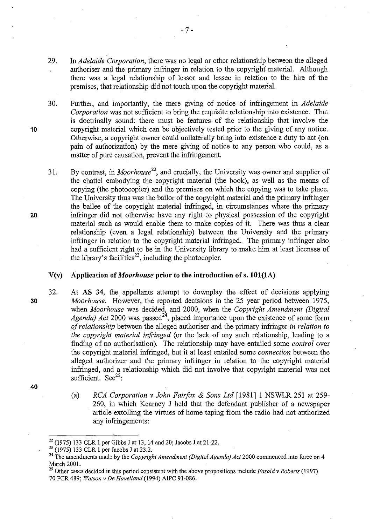- 29. In *Adelaide Corporation,* there was no legal or other relationship between the alleged authoriser and the primary infringer in relation to the copyright material. Although there was a legal relationship of lessor and lessee in relation to the hire of the premises, that relationship did not touch upon the copyright material.
- 30. Further, and importantly, the mere giving of notice of infringement in *Adelaide Corporation* was not sufficient to bring the requisite relationship into existence. That is doctrinally sound: there must be features of the relationship that involve the copyright material which can be objectively tested prior to the giving of any notice. Otherwise, a copyright owner could unilaterally bring into existence a duty to act (on pain of authorization) by the mere giving of notice to any person who could, as a matter of pure causation, prevent the infringement.
- 31. By contrast, in *Moorhouse*<sup>22</sup>, and crucially, the University was owner and supplier of the chattel embodying the copyright material (the book), as well as the means of copying (the photocopier) and the premises on which the copying was to take place. The University thus was the bailor of the copyright material and the primary infringer the bailee of the copyright material infringed, in circumstances where the primary infringer did not otherwise have any right to physical possession of the copyright material such as would enable them to make copies of it. There was thus a clear relationship (even a legal relationship) between the University and the primary infringer in relation to the copyright material infringed. The primary infringer also had a sufficient right to be in the University library to make him at least licensee of the library's facilities<sup>23</sup>, including the photocopier.

### **V(v) Application of** *Moorhouse* **prior to the introduction of s. lOl(lA)**

- 32. At **AS 34,** the appellants attempt to downplay the effect of decisions applying *Moorhouse.* However, the reported decisions in the 25 year period between 1975, when *Moorhouse* was decided, and 2000, when the *Copyright Amendment (Digital Agenda) Act* 2000 was passed<sup>24</sup>, placed importance upon the existence of some form *of relationship* between the alleged authoriser and the primary infringer *in relation to the copyright material infringed* (or the lack of any such relationship, leading to a finding of no authorisation). The relationship may have entailed some *control* over the copyright material infringed, but it at least entailed some *connection* between the alleged authorizer and the primary infringer in relation to the copyright material infringed, and a relationship which did not involve that copyright material was not sufficient. See<sup>25</sup>:
	- (a) *RCA Corporation v John Fairfax* & *Sons Ltd* [1981] 1 NSWLR 251 at 259- 260, in which Kearney J held that the defendant publisher of a newspaper article extolling the virtues of home taping from the radio had not authorized any infringements:

**20** 

**10** 

**30** 

<sup>&</sup>lt;sup>22</sup> (1975) 133 CLR 1 per Gibbs J at 13, 14 and 20; Jacobs J at 21-22.<br><sup>23</sup> (1975) 133 CLR 1 per Jacobs J at 23.2.<br><sup>24</sup> The amendments made by the *Copyright Amendment (Digital Agenda) Act* 2000 commenced into force on 4 March 2001.<br><sup>25</sup> Other cases decided in this period consistent with the above propositions include *Fasold v Roberts* (1997)

<sup>70</sup> FCR489; *Watson v De Have/land* (1994) AIPC 91-086.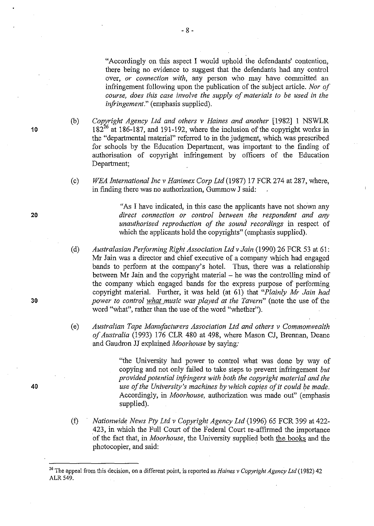"Accordingly on this aspect I would uphold the defendants' contention, there being no evidence to suggest that the defendants had any control over, *or connection with,* any person who may have committed an infringement following upon the publication of the subject article. *Nor of course, does this case involve the supply of materials to be used in the infringement."* (emphasis supplied).

(b) *Copyright Agency Ltd and others v Haines and another* [1982] 1 NSWLR  $182^{26}$  at 186-187, and 191-192, where the inclusion of the copyright works in the "departmental material" referred to in the judgment, which was prescribed for schools by the Education Department, was important to the finding of authorisation of copyright infringement by officers of the Education Department;

(c) *WEA International Inc v Hanimex Corp Ltd* (1987) 17 FCR 274 at 287, where, in finding there was no authorization, Gummow J said:

> "As I have indicated, in this case the applicants have not shown any *direct connection or control between the respondent and any unauthorised reproduction of the sound recordings* in respect of which the applicants hold the copyrights" (emphasis supplied).

- (d) *Australasian Performing Right Association Ltd v Jain* (1990) 26 FCR 53 at 61: Mr Jain was a director and chief executive of a company which had engaged bands to perform at the company's hotel. Thus, there was a relationship between Mr Jain and the copyright material  $-$  he was the controlling mind of the company which engaged bands for the express purpose of performing copyright material. Further, it was held (at 61) that *"Plainly Mr Jain had power to control what music was played at the Tavern"* (note the use of the word "what", rather than the use of the word "whether").
- (e) *Australian Tape Manufacturers Association Ltd and others v Commonwealth of Australia* (1993) 176 CLR 480 at 498, where Mason CJ, Brennan, Deane and Gaudron JJ explained *Moorhouse* by saying:

"the University had power to control what was done by way of copying and not only failed to take steps to prevent infringement *but provided potential infi·ingers with both the copyright material and the use of the University's machines by which copies of it could be made.*  Accordingly, in *Moorhouse,* authorization was made out" (emphasis supplied).

(f) *Nationwide News Pty Ltd v Copyright Agency Ltd* (1996) 65 FCR 399 at 422- 423, in which the Full Court of the Federal Court re-affirmed the importance of the fact that, in *Moorhouse,* the University supplied both the books and the photocopier, and said:

20

10

30

<sup>26</sup> The appeal from this decision, on a different point, is reported as *Haines v Copyright Agency Ltd* (1982) 42 ALR 549.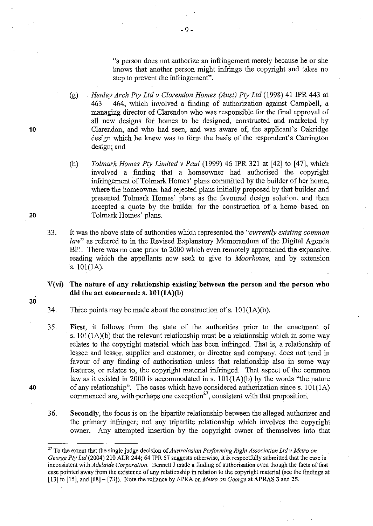"a person does not authorize an infringement merely because he or she knows that another person might infringe the copyright and takes no step to prevent the infringement".

- (g) *Henley Arch Pty Ltd v Clarendon Homes (Aust) Pty Ltd* (1998) 41 IPR 443 at  $463 - 464$ , which involved a finding of authorization against Campbell, a managing director of Clarendon who was responsible for the final approval of all new designs for homes to be designed, constructed and marketed by Clarendon, and who had seen, and was aware of, the applicant's Oakridge design which he knew was to form the basis of the respondent's Carrington design; and
- (h) *To/mark Homes Pty Limited v Paul* (1999) 46 IPR 321 at [42] to [47], which involved a finding that a homeowner had authorised the copyright infringement of Tolmark Homes' plans committed by the builder of her home, where the homeowner had rejected plans initially proposed by that builder and presented Tolmark Homes' plans as the favoured design solution, and then accepted a quote by the builder for the construction of a home based on Tolmark Homes' plans.
- 3.3. It was the above state of authorities which represented the *"currently existing common law*" as referred to in the Revised Explanatory Memorandum of the Digital Agenda Bill. There was no case prior to 2000 which even remotely approached the expansive reading which the appellants now seek to give to *Moorhouse,* and by extension s. lOl(IA).
- **V(vi) The nature of any relationship existing between the person and the person who did the act concerned: s. lOl(lA)(b)**
- 34. Three points may be made about the construction of s.  $101(1A)(b)$ .
- 35. **First,** it follows from the state of the authorities prior to the enactment of s. lOl(IA)(b) that the relevant relationship must be a relationship which in some way relates to the copyright material which has been infringed. That is, a relationship of lessee and lessor, supplier and customer, or director and company, does not tend in favour of any finding of authorisation unless that relationship also in some way features, or relates to, the copyright material infringed. That aspect of the common law as it existed in 2000 is accommodated in s.  $101(1A)(b)$  by the words "the nature of any relationship". The cases which have considered authorization since s.  $101(1A)$ commenced are, with perhaps one exception $^{27}$ , consistent with that proposition.
- 36. **Secondly,** the focus is on the bipartite relationship between the alleged authorizer and the primary infringer; not any tripartite relationship which involves the copyright owner. Any attempted insertion by the copyright owner of themselves into that

**20** 

**10** 

30

<sup>27</sup> To the extent that the single judge decision of *Australasian Performing Right Association Ltd v Metro on George Pty Ltd* (2004) 210 ALR 244; 64 IPR 57 suggests otherwise, it is respectfully submitted that the case is inconsistent with *Adelaide Corporation.* Bennett J made a finding of authorisation even though the facts of that case pointed away from the existence of any relationship in relation to the copyright material (see the findings at [13] to [15], and [68]- [73]). Note the reliance by APRA on *Metro on George* at APRAS 3 and 25.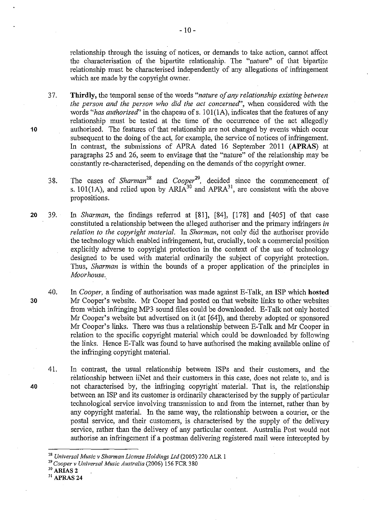relationship through the issuing of notices, or demands to take action, cannot affect the characterisation of the bipartite relationship. The "nature" of that bipartite relationship must be characterised independently of any allegations of infringement which are made by the copyright owner.

37. **Thirdly,** the temporal sense of the words *"nature of any relationship existing between the person and the person who did the act concerned'',* when considered with the words *"has authorised''* in the chapeau ofs. 101(1A), indicates that the features of any relationship must be tested at the time of the occurrence of the act allegedly authorised. The features of that relationship are not changed by events which occur subsequent to the doing of the act, for example, the service of notices of infringement. In contrast, the submissions of APRA dated 16 September 2011 **(APRAS)** at paragraphs 25 and 26, seem to envisage that the "nature" of the relationship may be constantly re-characterised, depending on the demands of the copyright owner.

38. The cases of *Sharman<sup>28</sup>*and *Cooper29,* decided since the commencement of s. 101(1A), and relied upon by ARIA<sup>30</sup> and APRA<sup>31</sup>, are consistent with the above propositions.

- **20** 39. In *Sharman,* the fmdings referred at [81 ], [84], [178] and [ 405] of that case constituted a relationship between the alleged authoriser and the primary infringers *in relation to the copyright material.* In *Sharman,* not only did the authoriser provide the technology which enabled infringement, but, crucially, took a commercial position explicitly adverse to copyright protection in the context of the use of technology designed to be used with material ordinarily the subject of copyright protection. Thus, *Sharman* is within the bounds of a proper application of the principles in *Moorhouse.*
- 40. In *Cooper,* a finding of authorisation was made against E-Talk, an ISP which **hosted**  Mr Cooper's website. Mr Cooper had posted on that website links to other websites from which infringing MP3 sound files could be downloaded. E-Talk not only hosted· Mr Cooper's website but advertised on it (at [64]), and thereby adopted or sponsored Mr Cooper's links. There was thus a relationship between E-Talk and Mr Cooper in relation to the specific copyright material which could be downloaded by following the links. Hence E-Talk was found to have authorised the making available online of the infringing copyright material.
	- 41. In contrast, the usual relationship between ISPs and their customers, and the relationship between iiNet and their customers in this case, does not relate to, and is not characterised by, the infringing copyright material. That is, the relationship between an ISP and its customer is ordinarily characterised by the supply of particular technological service involving transmission to and from the internet, rather than by any copyright material. In the same way, the relationship between a courier, or the postal service, and their customers, is characterised by the supply of the delivery service, rather than the delivery of any particular content. Australia Post would hot authorise an infringement if a postman delivering registered mail were intercepted by

31 APRAS 24

30

**40** 

<sup>&</sup>lt;sup>28</sup> Universal Music v Sharman License Holdings Ltd (2005) 220 ALR 1<br><sup>29</sup> Cooper v Universal Music Australia (2006) 156 FCR 380<br><sup>30</sup> ARIAS 2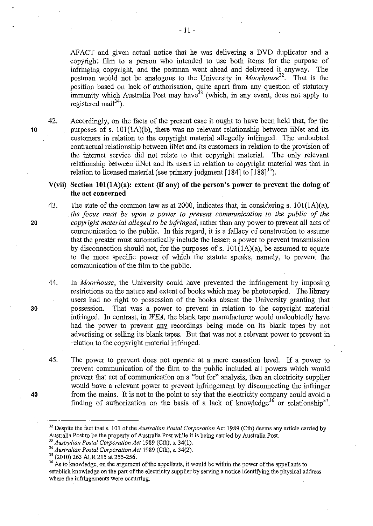AFACT and given actual notice that he was delivering a DVD duplicator and a copyright film to a person who intended to use both items for the purpose of infringing copyright, and the postman went ahead and delivered it anyway. The postman would not be analogous to the University in *Moorhouse32•* That is the position based on lack of authorisation, quite apart from any question of statutory immunity which Australia Post may have  $33$  (which, in any event, does not apply to registered mail<sup>34</sup>).

42. Accordingly, on the facts of the present case it ought to have been held that, for the 10 **purposes of s.** 101(1A)(b), there was no relevant relationship between iiNet and its customers in relation to the copyright material allegedly infringed. The undoubted contractual relationship between iiNet and its customers in relation to the provision of the internet service did not relate to that copyright material. The only relevant relationship between iiNet and its users in relation to copyright material was that in relation to licensed material (see primary judgment [184] to  $[188]^{35}$ ).

# **V(vii) Section IOl(lA)(a): extent (if any) of the person's power to prevent the doing of the act concerned**

43. The state of the common law as at 2000, indicates that, in considering s. 101(1A)(a), *the focus must be upon a power to prevent communication to the public of the*  **20** *copyright material alleged to be infringed,* rather than any power to prevent all acts of communication to the public. In this regard, it is a fallacy of construction to assume that the greater must automatically include the lesser; a power to prevent transmission by disconnection should not, for the purposes of s.  $101(1A)(a)$ , be assumed to equate to the more specific power of which the statute speaks, namely, to prevent the communication of the film to the public.

44. In *Moorhouse,* the University could have prevented the infringement by imposing restrictions on the nature and extent of books which may be photocopied. The library users had no right to possession of the books absent the University granting that **30** possession. That was a power to prevent in relation to the copyright material infringed. In contrast, in *WEA,* the blank tape manufacturer would undoubtedly have had the power to prevent any recordings being made on its blank tapes by not advertising or selling its blank tapes. But that was not a relevant power to prevent in relation to the copyright material infringed.

45. The power to prevent does not operate at a mere causation level. If a power to prevent communication of the film to the public included all powers which would prevent that act of communication on a "but for" analysis, then an electricity supplier would have a relevant power to prevent infringement by disconnecting the infringer **40** from the mains. It is not to the point to say that the electricity company could avoid a finding of authorization on the basis of a lack of knowledge<sup>36</sup> or relationship<sup>37</sup>.

<sup>32</sup> Despite the fact that s. 101 of the *Australian Postal Corporation* Act 1989 (Cth) deems any article carried by Australia Post to be the property of Australia Post while it is being carried by Australia Post

<sup>&</sup>lt;sup>33</sup> Australian Postal Corporation Act 1989 (Cth), s. 34(1).<br><sup>34</sup> Australian Postal Corporation Act 1989 (Cth), s. 34(2).

<sup>&</sup>lt;sup>35</sup> (2010) 263 ALR 215 at 255-256. <sup>36</sup> As to knowledge, on the argument of the appellants to knowledge, on the argument of the appellants, it would be within the power of the appellants to establish knowledge on the part of the electricity supplier by serving a notice identifying the physical address where the infringements were occurring.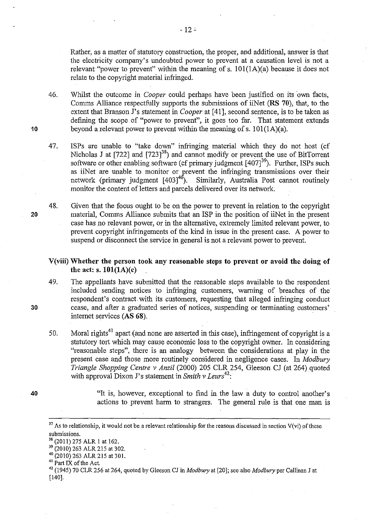Rather, as a matter of statutory construction, the proper, and additional, answer is that the electricity company's undoubted power to prevent at a causation level is not a relevant "power to prevent" within the meaning of s.  $101(1A)(a)$  because it does not relate to the copyright material infringed.

46. Whilst the outcome in *Cooper* could perhaps have been justified on its own facts, Comms Alliance respectfully supports the submissions of iiNet **(RS 70),** that, to the extent that Branson J's statement in *Cooper* at [41], second sentence, is to be taken as defining the scope of "power to prevent", it goes too far. That statement extends beyond a relevant power to prevent within the meaning of s. 101(1A)(a).

47. ISPs are unable to "take down" infringing material which they do not host (cf Nicholas J at  $[722]$  and  $[723]^{38}$ ) and cannot modify or prevent the use of BitTorrent software or other enabling software (cf primary judgment  $[407]^{39}$ ). Further, ISPs such as iiNet are unable to monitor or prevent the infringing transmissions over their network (primary judgment  $[403]^{40}$ ). Similarly, Australia Post cannot routinely monitor the content of letters and parcels delivered over its network.

48. Given that the focus ought to be on the power to prevent in relation to the copyright material, Comms Alliance submits that an ISP in the position of iiNet in the present case has no relevant power, or in the alternative, extremely limited relevant power, to prevent copyright infringements of the kind in issue in the present case. A power to suspend or disconnect the service in general is not a relevant power to prevent.

# **V(viii) Whether the person took any reasonable steps to prevent or avoid the doing of the act: s. IOI(IA)(c)**

49. The appellants have submitted that the reasonable steps available to the respondent included sending notices to infringing customers, warning of breaches of the respondent's contract with its customers, requesting that alleged infringing conduct cease, and after a graduated series of notices, suspending or terminating customers' internet services **(AS 68).** 

50. Moral rights $41$  apart (and none are asserted in this case), infringement of copyright is a statutory tort which may cause economic loss to the copyright owner. In considering "reasonable steps", there is an analogy between the considerations at play in the present case and those more routinely considered in negligence cases. In *Madbury Triangle Shopping Centre v Anzil* (2000) 205 CLR 254, Gleeson CJ (at 264) quoted with approval Dixon J's statement in *Smith v Leurs<sup>42</sup> :* 

> "It is, however, exceptional to find in the law a duty to control another's actions to prevent harm to strangers. The general rule is that one man is

**20** 

**10** 

**30** 

 $37$  As to relationship, it would not be a relevant relationship for the reasons discussed in section V(vi) of these submissions.<br><sup>38</sup> (2011) 275 ALR 1 at 162.

<sup>&</sup>lt;sup>39</sup> (2010) 263 ALR 215 at 302.<br>
<sup>40</sup> (2010) 263 ALR 215 at 301.<br>
<sup>41</sup> Part IX of the Act.<br>
<sup>42</sup> (1945) 70 CLR 256 at 264, quoted by Gleeson CJ in *Modbury* at [20]; see also *Modbury* per Callinan J at [ 140].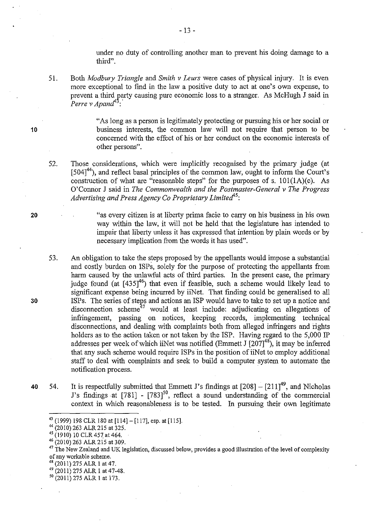under no duty of controlling another man to prevent his doing damage to a third".

51. Both *Madbury Triangle* and *Smith v Leurs* were cases of physical injury. It is even more exceptional to find in the law a positive duty to .act at one's own expense, to prevent a third party causing pure economic loss to a stranger. As McHugh J said in  $Perre$  v Apand<sup>43</sup>:

> "As long as a person is legitimately protecting or pursuing his or her social or business interests, the common law will not require that person to be concerned with the effect of his or her conduct on the economic interests of other persons".

52. Those considerations, which were implicitly recognised by the primary judge (at  $[504]$ <sup>44</sup>), and reflect basal principles of the common law, ought to inform the Court's construction of what are "reasonable steps" for the purposes of s.  $101(1A)(c)$ . As O'Connor J said in *The Commonwealth and the Postmaster-General v The Progress Advertising and Press Agency Co Proprietary Limitecf'5 :* 

> "as every citizen is at liberty prima facie to carry on his business in his own way within the law, it will not be held that the legislature has intended to impair that liberty unless it has expressed that intention by plain words or by necessary implication from the words it has used".

- 53. An obligation to take the steps proposed by the appellants would impose a substantial and costly burden on ISPs, solely for the purpose of protecting the appellants from harm caused by the unlawful acts of third parties. In the present case, the primary judge found (at [435]<sup>46</sup>) that even if feasible, such a scheme would likely lead to significant expense being incurred by iiNet. That finding could be generalised to all ISPs. The series of steps and actions an ISP would have to take to set up a notice and disconnection scheme<sup>47</sup> would at least include: adjudicating on allegations of infringement, passing on notices, keeping records, implementing technical disconnections, and dealing with complaints both from alleged infringers and rights holders as to the action taken or not taken by the ISP. Having regard to the 5,000 IP addresses per week of which iiNet was notified (Emmett J  $[207]^{48}$ ), it may be inferred that any such scheme would require ISPs in the position of iiNet to employ additional staff to deal with complaints and seek to build a computer system to automate the notification process.
- 40 54. It is respectfully submitted that Emmett J's findings at  $[208] [211]^{49}$ , and Nicholas J's findings at  $[781]$  -  $[783]^{50}$ , reflect a sound understanding of the commercial context in which reasonableness is to be tested. In pursuing their own legitimate

- <sup>47</sup> The New Zealand and UK legislation, discussed below, provides a good illustration of the level of complexity of any workable scheme.
- 48 (2011) 275 ALR 1 at 47.
- $^{49}$  (2011) 275 ALR 1 at 47-48.<br><sup>50</sup> (2011) 275 ALR 1 at 173.
- 

10

30

<sup>&</sup>lt;sup>43</sup> (1999) 198 CLR 180 at [114] - [117], esp. at [115]. <sup>44</sup> (2010) 263 ALR 215 at 325.

 $45$  (1910) 10 CLR 457 at 464.

<sup>46 (2010) 263</sup> ALR 215 at 309.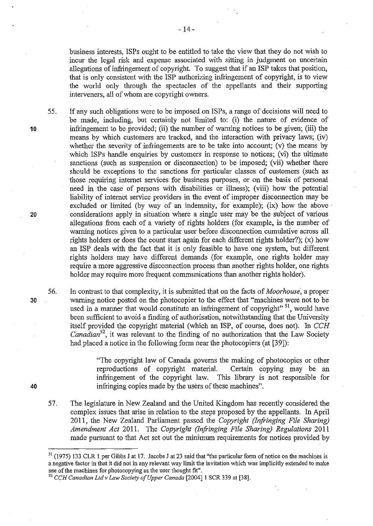business interests, ISPs ought to be entitled to take the view that they do not wish to incur the legal risk and expense associated with sitting in judgment on uncertain allegations of infringement of copyright. To suggest that if an ISP talces that position, that is only consistent with the ISP authorizing infringement of copyright, is to view the world only through the spectacles of the appellants and their supporting interveners, all of whom are copyright owners.

55. If any such obligations were to be imposed on ISPs, a range of decisions will need to be made, including, but certainly not limited to: (i) the nature of evidence of infringement to be provided; (ii) the number of warning notices to be given; (iii) the means by which customers are tracked, and the interaction with privacy laws; (iv) whether the severity of infringements are to be take into account; (v) the means by which ISPs handle enquiries by customers in response to notices; (vi) the ultimate sanctions (such as suspension or disconnection) to be imposed; (vii) whether there should be exceptions to the sanctions for particular classes of customers (such as those requiring internet services for business purposes, or on the basis of personal need in the case of persons with disabilities or illness); (viii) how the potential liability of internet service providers in the event of improper disconnection may be excluded or limited (by way of an indemnity, for example); (ix) how the above considerations apply in situation where a single user may be the subject of various allegations from each of a variety of rights holders (for example, is the number of warning notices given to a particular user before disconnection cumulative across all rights holders or does the count start again for each different rights holder?); (x) how an ISP deals with the fact that it is only feasible to have one system, but different rights holders may have different demands (for example, one rights holder may require a more aggressive disconnection process than another rights holder, one rights holder may require more frequent communications than another rights holder).

56. In contrast to that complexity, it is submitted that on the facts of *Moorhouse,* a proper warning notice posted on the photocopier to the effect that "machines were not to be used in a manner that would constitute an infringement of copyright"<sup>51</sup>, would have been sufficient to avoid a finding of authorisation, notwithstanding that the University itself provided the copyright material (which an ISP, of course, does not). In *CCH Canadian*<sup>52</sup>, it was relevant to the finding of no authorization that the Law Society had placed a notice in the following form near the photocopiers (at [39]):

> "The copyright law of Canada governs the making of photocopies or other reproductions of copyright material. Certain copying may be an infringement of the copyright law. This library is not responsible for infringing copies made by the users of these machines".

57. The legislature in New Zealand and the United Kingdom has recently considered the complex issues that arise in relation to the steps proposed by the appellants. In April 2011, the New Zealand Parliament passed the *Copyright (Infringing File Sharing) Amendment Act* 2011. The *Copyright (Infringing File Sharing) Regulations* 2011 made pursuant to that Act set out the minimum requirements for notices provided by

10

20

30

<sup>51 (1975) 133</sup> CLR 1 per Gibbs J at 17. Jacobs J at 23 said that "the particular form of notice on the machines is a negative factor in that it did not in any relevant way limit the invitation which was implicitly extended to make use of the machines for photocopying as. the user thought fit". 52 *CCH Canadian Ltd v Law Society of Upper Canada* [2004]1 SCR 339 at [38].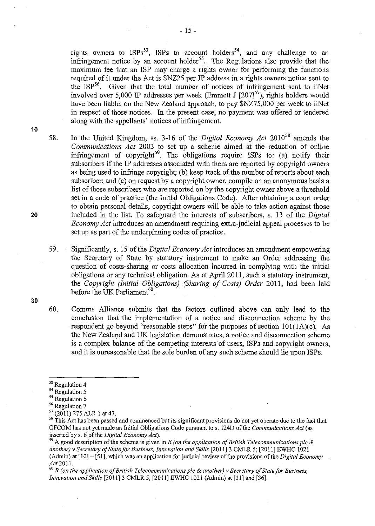- 15-

rights owners to  $ISPs^{53}$ , ISPs to account holders<sup>54</sup>, and any challenge to an infringement notice by an account holder<sup>55</sup>. The Regulations also provide that the maximum fee that an ISP may charge a rights owner for performing the functions required of it under the Act is \$NZ25 per IP address in a rights owners notice sent to the ISP<sup>56</sup>. Given that the total number of notices of infringement sent to iiNet involved over 5,000 IP addresses per week (Emmett J [207]<sup>57</sup>), rights holders would have been liable, on the New Zealand approach, to pay  $NZ75,000$  per week to iiNet in respect of those notices. In the present case, no payment was offered or tendered along with the appellants' notices of infringement.

10

58. In the United Kingdom, ss. 3-16 of the *Digital Economy Act* 2010<sup>58</sup> amends the *Communications Act* 2003 to set up a scheme aimed at the reduction of online infringement of copyright<sup>59</sup>. The obligations require ISPs to: (a) notify their subscribers if the IP addresses associated with them are reported by copyright owners as being used to infringe copyright; (b) keep track of the number of reports about each subscriber; and (c) on request by a copyright owner, compile on an anonymous basis a list of those subscribers who are reported on by the copyright owner above a threshold set in a code of practice (the Initial Obligations Code). After obtaining a court order to obtain personal details, copyright owners will be able to take action against those included in the list. To safeguard the interests of subscribers, s. 13 of the *Digital Economy Act* introduces an amendment requiring extra-judicial appeal processes to be set up as part of the underpinning codes of practice.

59. Significantly, s. 15 of the *Digital Economy Act* introduces an amendment empowering the Secretary of State by statutory instrument to make an Order addressing the question of costs-sharing or costs allocation incurred in complying with the initial obligations or any technical obligation. As at April2011, such a statutory instrument, the *Copyright (Initial Obligations) .(Sharing of Costs) Order* 2011, had been laid before the UK Parliament<sup>60</sup>.

60. Comrns Alliance submits that the factors outlined above can only lead to the conclusion that the implementation of a notice and disconnection scheme by the respondent go beyond "reasonable steps" for the purposes of section  $101(1A)(c)$ . As the New Zealand and UK legislation demonstrates, a notice and disconnection scheme is a complex balance of the competing interests of users, ISPs and copyright owners, and it is unreasonable that the sole burden of any such scheme should lie upon ISPs.

*<sup>59</sup>*A goad description of the scheme is given in *R (on the application of British Telecommunications pic* & *another) v Secretary of State for Business, Innovation and Skills* [2011]3 CMLR 5; [2011] EWHC 1021 (Admin) at [10]- [51], which was an application for judicial review of the provisions of the *Digital Economy*  Act20ll.

<sup>60</sup>*R (on the application of British Telecommunications pic* & *another) v Secretary of State for Business, Innovation and Skills* [2011] 3 CMLR 5; [2011] EWHC 1021 (Admin) at [31] and [36].

20

 $\frac{53}{54}$  Regulation 4<br> $\frac{54}{54}$  Regulation 5

<sup>&</sup>lt;sup>55</sup> Regulation 6<br><sup>56</sup> Regulation 7

 $57 (2011) 275$  ALR 1 at 47.

<sup>&</sup>lt;sup>58</sup> This Act has been passed and commenced but its significant provisions do not yet operate due to the fact that OF COM has not yet made an Initial Obligations Code pursuant to s. 124D of the *Communications Act* (as inserted by s. 6 of the *Digital Economy Act).*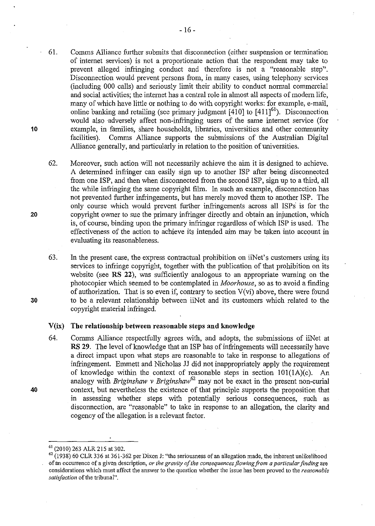- 61. Comms Alliance further submits that disconnection (either suspension or termination of internet services) is not a proportionate action that the respondent may take to prevent alleged infringing conduct and therefore is not a "reasonable step". Disconnection would prevent persons from, in many cases, using telephony services (including 000 calls) and seriously limit their ability to conduct normal commercial and social activities; the internet has a central role in almost all aspects of modern life, many of which have little or nothing to do with copyright works: for example, e-mail, online banking and retailing (see primary judgment  $[410]$  to  $[411]^{61}$ ). Disconnection would also adversely affect non-infringing users of the same internet service (for example, in families, share households, libraries, universities and other community facilities). Comms Alliance supports the submissions of the Australian Digital Alliance generally, and particularly in relation to the position of universities.
- 62. Moreover, such action will not necessarily achieve the aim it is designed to achieve. A determined infringer can easily sign up to another ISP after being disconnected from one ISP, and then when disconnected from the second ISP, sign up to a third, all the while infringing the same copyright film. In such an example, disconnection has not prevented further infringements, but has merely moved them to another ISP. The only course which would prevent further infringements across all ISPs' is for the copyright owner to sue the primary infringer directly and obtain an injunction, which is, of course, binding upon the primary infringer regardless of which ISP is used. The effectiveness of the action to achieve its intended aim may be taken into account in evaluating its reasonableness.
- 63. In the present case, the express contractual prohibition on iiNet's customers using its services to infringe copyright, together with the publication of that prohibition on its website (see **RS 22),** was sufficiently analogous to an appropriate warning on the photocopier which seemed to be contemplated in *Moorhouse,* so as to avoid a finding of authorization. That is so even if, contrary to section  $V(v_i)$  above, there were found to be a relevant relationship between iiNet and its customers which related to the copyright material infringed.

#### **V(ix) The relationship between reasonable steps and knowledge**

64. Comms Alliance respectfully agrees with, and adopts, the submissions of iiNet at **RS 29.** The level of knowledge that an ISP has of infringements will necessarily have a direct impact upon what steps are reasonable to take in response to allegations of infringement. Emmett and Nicholas JJ did not inappropriately apply the requirement of knowledge within the context of reasonable steps in section 101(1A)(c). An analogy with *Briginshaw v Briginshaw<sup>62</sup>* may not be exact in the present non-curial context, but nevertheless the existence of that principle supports the proposition that in assessing whether steps with potentially serious consequences, such as disconnection, are "reasonable" to take in response to an allegation, the clarity and cogency of the allegation is a relevant factor.

**20** 

**10** 

**30** 

 $<sup>61</sup>$  (2010) 263 ALR 215 at 302.<br><sup>62</sup> (1938) 60 CLR 336 at 361-362 per Dixon J: "the seriousness of an allegation made, the inherent unlikelihood</sup> of an occurrence of a given description, *or the gravity of the consequences flowing from a particular finding* are considerations which must affect the answer to the question whether the issue has been proved to the *reasonable satisfaction* of the tribunal".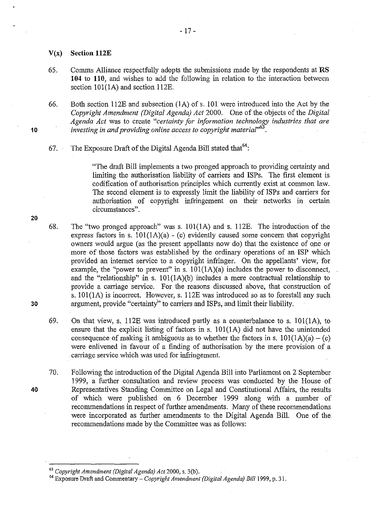- V(x) **Section 112E**
- 65. Comms Alliance respectfully adopts the submissions made by the respondents at RS **104 to 110,** and wishes to add the following in relation to the interaction between section 101(1A) and section 112E.

66. Both section 112E and subsection (lA) of s. 101 were introduced into the Act by the *Copyright Amendment (Digital Agenda) Act* 2000. One of the objects of the *Digital Agenda Act was to create "certainty for information technology industries that are investing in and providing online access to copyright material"<sup>6</sup>*• .

67. The Exposure Draft of the Digital Agenda Bill stated that  $64$ :

"The draft Bill implements a two pronged approach to providing certainty and limiting the authorisation liability of carriers and ISPs. The first element is codification of authorisation principles which currently exist at common law. The second element is to expressly limit the liability of ISPs and carriers for authorisation of copyright infringement on their networks in certain circumstances".

- 68. The "two pronged approach" was s.  $101(1A)$  and s. 112E. The introduction of the express factors in s.  $101(1A)(a)$  - (c) evidently caused some concern that copyright owners would argue (as the present appellants now do) that the existence of one or more of those factors was established by the ordinary operations of an ISP which provided an internet service to a copyright infringer. On the appellants' view, for example, the "power to prevent" in s.  $101(1A)(a)$  includes the power to disconnect, and the "relationship" in s.  $101(1A)(b)$  includes a mere contractual relationship to provide a carriage service. For the reasons discussed above, that construction of s. 101(1A) is incorrect. However, s. 112E was introduced so as to forestall any such argument, provide "certainty" to carriers and ISPs, and limit their liability.
- 69. On that view, s. 112E was introduced partly as a counterbalance to s. lOl(lA), to ensure that the explicit listing of factors in  $s$ . 101(1A) did not have the unintended consequence of making it ambiguous as to whether the factors in s.  $101(1A)(a) - (c)$ were enlivened in favour of a finding of authorisation by the mere provision of a carriage service which was used for infringement.
- 70. Following the introduction of the Digital Agenda Bill into Parliament on 2 September 1999, a further consultation and review process was conducted by the House of Representatives Standing Committee on Legal and Constitutional Affairs, the results of which were published on 6 December 1999 along with a number of recommendations in respect of further amendments. Many of these recommendations were incorporated as further amendments to the Digital Agenda Bill. One of the recommendations made by the Committee was as follows:

20

30

**40** 

<sup>&</sup>lt;sup>63</sup> Copyright Amendment (Digital Agenda) Act 2000, s. 3(b).<br><sup>64</sup> Exposure Draft and Commentary – *Copyright Amendment (Digital Agenda) Bill* 1999, p. 31.